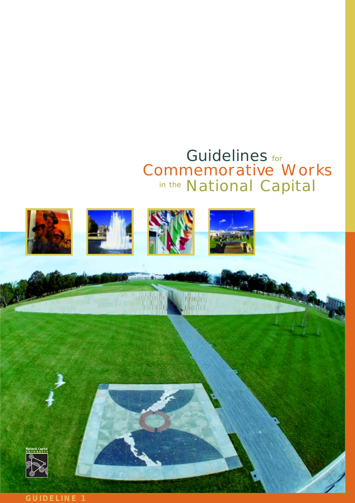# Guidelines for in the National Capital Commemorative Works

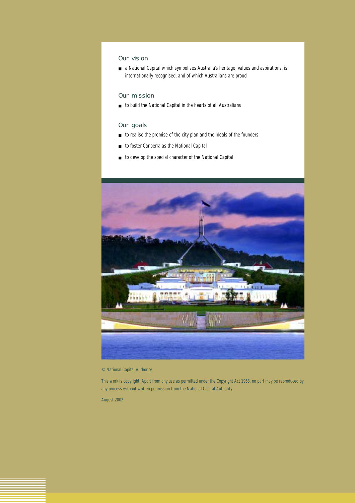## Our vision

■ a National Capital which symbolises Australia's heritage, values and aspirations, is internationally recognised, and of which Australians are proud

### Our mission

■ to build the National Capital in the hearts of all Australians

#### Our goals

- to realise the promise of the city plan and the ideals of the founders
- to foster Canberra as the National Capital
- to develop the special character of the National Capital



#### National Capital Authority

This work is copyright. Apart from any use as permitted under the *Copyright Act 1968*, no part may be reproduced by any process without written permission from the National Capital Authority

August 2002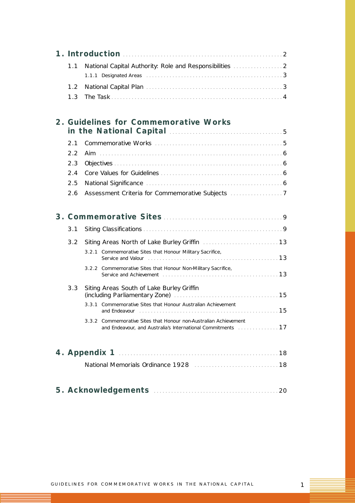| 1.1 | National Capital Authority: Role and Responsibilities  2                                                                                                                       |  |
|-----|--------------------------------------------------------------------------------------------------------------------------------------------------------------------------------|--|
| 1.2 |                                                                                                                                                                                |  |
| 1.3 |                                                                                                                                                                                |  |
|     | 2. Guidelines for Commemorative Works                                                                                                                                          |  |
|     |                                                                                                                                                                                |  |
| 2.1 |                                                                                                                                                                                |  |
| 2.2 |                                                                                                                                                                                |  |
| 2.3 |                                                                                                                                                                                |  |
| 2.4 |                                                                                                                                                                                |  |
| 2.5 |                                                                                                                                                                                |  |
| 2.6 |                                                                                                                                                                                |  |
|     |                                                                                                                                                                                |  |
| 3.1 |                                                                                                                                                                                |  |
| 3.2 |                                                                                                                                                                                |  |
|     | 3.2.1 Commemorative Sites that Honour Military Sacrifice,                                                                                                                      |  |
|     | 3.2.2 Commemorative Sites that Honour Non-Military Sacrifice,                                                                                                                  |  |
| 3.3 | Siting Areas South of Lake Burley Griffin<br>(including Parliamentary Zone) [19] [19] Contact Contact Taraceutical Contact Taraceutical Contact Taraceutica                    |  |
|     | 3.3.1 Commemorative Sites that Honour Australian Achievement<br>and Endeavour (and all and all and all and all and all and all and all and all and all and all and all and all |  |
|     | 3.3.2 Commemorative Sites that Honour non-Australian Achievement<br>and Endeavour, and Australia's International Commitments [11, 11, 11, 11]                                  |  |
|     |                                                                                                                                                                                |  |
|     |                                                                                                                                                                                |  |
|     | National Memorials Ordinance 1928 [11] [11] Mational Memorials Ordinance 1928 [11] Mathematics 1948                                                                            |  |
|     |                                                                                                                                                                                |  |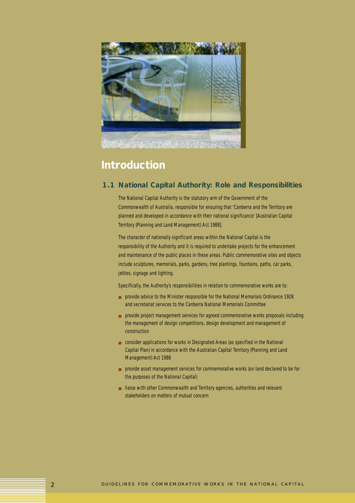

## **Introduction**

## **1.1 National Capital Authority: Role and Responsibilities**

The National Capital Authority is the statutory arm of the Government of the Commonwealth of Australia, responsible for ensuring that 'Canberra and the Territory are planned and developed in accordance with their national significance' [*Australian Capital Territory (Planning and Land Management) Act 1988*].

The character of nationally significant areas within the National Capital is the responsibility of the Authority and it is required to undertake projects for the enhancement and maintenance of the public places in these areas. Public commemorative sites and objects include sculptures, memorials, parks, gardens, tree plantings, fountains, paths, car parks, jetties, signage and lighting.

Specifically, the Authority's responsibilities in relation to commemorative works are to:

- provide advice to the Minister responsible for the *National Memorials Ordinance 1928* and secretariat services to the Canberra National Memorials Committee
- provide project management services for agreed commemorative works proposals including the management of design competitions, design development and management of construction
- consider applications for works in Designated Areas (as specified in the National Capital Plan) in accordance with the *Australian Capital Territory (Planning and Land Management) Act 1988*
- provide asset management services for commemorative works (on land declared to be for the purposes of the National Capital)
- liaise with other Commonwealth and Territory agencies, authorities and relevant stakeholders on matters of mutual concern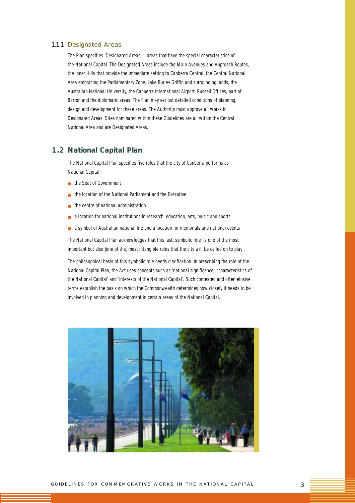#### 1.1.1 Designated Areas

The Plan specifies 'Designated Areas'—areas that have the special characteristics of the National Capital. The Designated Areas include the Main Avenues and Approach Routes, the Inner Hills that provide the immediate setting to Canberra Central, the Central National Area embracing the Parliamentary Zone, Lake Burley Griffin and surrounding lands, the Australian National University, the Canberra International Airport, Russell Offices, part of Barton and the diplomatic areas. The Plan may set out detailed conditions of planning, design and development for these areas. The Authority must approve all works in Designated Areas. Sites nominated within these *Guidelines* are all within the Central National Area and are Designated Areas.

#### **1.2 National Capital Plan**

The National Capital Plan specifies *five* roles that the city of Canberra performs as National Capital:

- the Seat of Government
- the location of the National Parliament and the Executive
- the centre of national administration
- a location for national institutions in research, education, arts, music and sports
- a symbol of Australian national life and a location for memorials and national events

The National Capital Plan acknowledges that this last, symbolic role 'is one of the most important but also [one of the] most intangible roles that the city will be called on to play'.

The philosophical basis of this symbolic role needs clarification. In prescribing the role of the National Capital Plan, the Act uses concepts such as 'national significance', 'characteristics of the National Capital' and 'interests of the National Capital'. Such contested and often elusive terms establish the basis on which the Commonwealth determines how closely it needs to be involved in planning and development in certain areas of the National Capital.

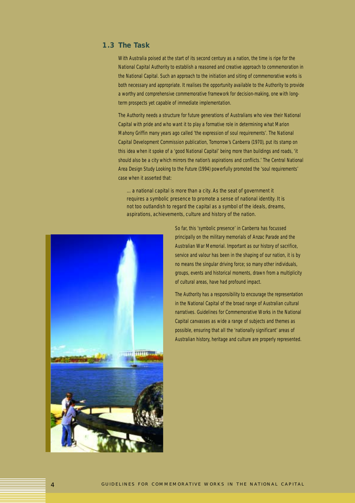## **1.3 The Task**

With Australia poised at the start of its second century as a nation, the time is ripe for the National Capital Authority to establish a reasoned and creative approach to commemoration in the National Capital. Such an approach to the initiation and siting of commemorative works is both necessary and appropriate. It realises the opportunity available to the Authority to provide a worthy and comprehensive commemorative framework for decision-making, one with longterm prospects yet capable of immediate implementation.

The Authority needs a structure for future generations of Australians who view their National Capital with pride and who want it to play a formative role in determining what Marion Mahony Griffin many years ago called 'the expression of soul requirements'. The National Capital Development Commission publication, *Tomorrow's Canberra* (1970), put its stamp on this idea when it spoke of a 'good National Capital' being more than buildings and roads, 'it should also be a city which mirrors the nation's aspirations and conflicts.' The Central National Area Design Study *Looking to the Future* (1994) powerfully promoted the 'soul requirements' case when it asserted that:

*…a national capital is more than a city. As the seat of government it requires a symbolic presence to promote a sense of national identity. It is not too outlandish to regard the capital as a symbol of the ideals, dreams, aspirations, achievements, culture and history of the nation.*



So far, this 'symbolic presence' in Canberra has focussed principally on the military memorials of Anzac Parade and the Australian War Memorial. Important as our history of sacrifice, service and valour has been in the shaping of our nation, it is by no means the singular driving force; so many other individuals, groups, events and historical moments, drawn from a multiplicity of cultural areas, have had profound impact.

The Authority has a responsibility to encourage the representation in the National Capital of the broad range of Australian cultural narratives. *Guidelines for Commemorative Works in the National Capital* canvasses as wide a range of subjects and themes as possible, ensuring that all the 'nationally significant' areas of Australian history, heritage and culture are properly represented.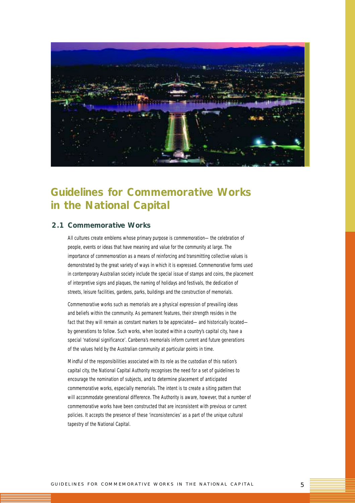

## **Guidelines for Commemorative Works in the National Capital**

## **2.1 Commemorative Works**

All cultures create emblems whose primary purpose is commemoration—the celebration of people, events or ideas that have meaning and value for the community at large. The importance of commemoration as a means of reinforcing and transmitting collective values is demonstrated by the great variety of ways in which it is expressed. Commemorative forms used in contemporary Australian society include the special issue of stamps and coins, the placement of interpretive signs and plaques, the naming of holidays and festivals, the dedication of streets, leisure facilities, gardens, parks, buildings and the construction of memorials.

Commemorative works such as memorials are a physical expression of prevailing ideas and beliefs within the community. As permanent features, their strength resides in the fact that they will remain as constant markers to be appreciated—and historically located by generations to follow. Such works, when located within a country's capital city, have a special 'national significance'. Canberra's memorials inform current and future generations of the values held by the Australian community at particular points in time.

Mindful of the responsibilities associated with its role as the custodian of this nation's capital city, the National Capital Authority recognises the need for a set of guidelines to encourage the nomination of subjects, and to determine placement of anticipated commemorative works, especially memorials. The intent is to create a siting pattern that will accommodate generational difference. The Authority is aware, however, that a number of commemorative works have been constructed that are inconsistent with previous or current policies. It accepts the presence of these 'inconsistencies' as a part of the unique cultural tapestry of the National Capital.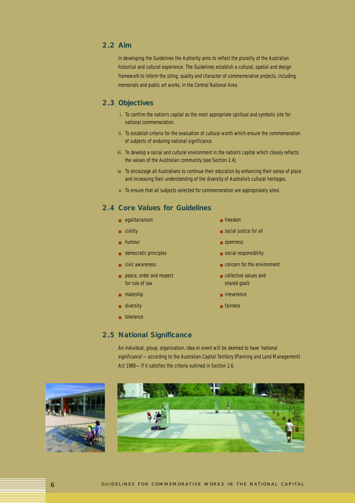## **2.2 Aim**

In developing the *Guidelines* the Authority aims to reflect the plurality of the Australian historical and cultural experience. The *Guidelines* establish a cultural, spatial and design framework to inform the siting, quality and character of commemorative projects, including memorials and public art works, in the Central National Area.

## **2.3 Objectives**

- i. To confirm the nation's capital as the most appropriate spiritual and symbolic site for national commemoration.
- ii. To establish criteria for the evaluation of cultural worth which ensure the commemoration of subjects of enduring national significance.
- iii. To develop a social and cultural environment in the nation's capital which closely reflects the values of the Australian community (see Section 2.4).
- iv. To encourage all Australians to continue their education by enhancing their sense of place and increasing their understanding of the diversity of Australia's cultural heritages.
- v. To ensure that all subjects selected for commemoration are appropriately sited.

## **2.4 Core Values for** *Guidelines*

- egalitarianism freedom
- 
- 
- democratic principles social responsibility
- 
- peace, order and respect set and the peace order and respect and the set and collective values and for rule of law shared goals and shared goals
- 
- diversity fairness
- tolerance
- 
- civility social justice for all
- humour openness
	-
- civic awareness **■** concern for the environment
	-
- mateship  **irreverence** 
	-

### **2.5 National Significance**

An individual, group, organisation, idea or event will be deemed to have 'national significance'—according to the *Australian Capital Territory (Planning and Land Management) Act 1988*—if it satisfies the criteria outlined in Section 2.6.



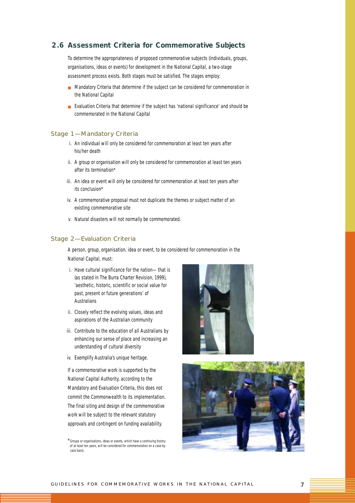### **2.6 Assessment Criteria for Commemorative Subjects**

To determine the appropriateness of proposed commemorative subjects (individuals, groups, organisations, ideas or events) for development in the National Capital, a two-stage assessment process exists. Both stages must be satisfied. The stages employ:

- Mandatory Criteria that determine if the subject can be considered for commemoration in the National Capital
- Evaluation Criteria that determine if the subject has 'national significance' and should be commemorated in the National Capital

#### Stage 1—Mandatory Criteria

- i. An individual will only be considered for commemoration *at least ten years* after his/her death
- ii. A group or organisation will only be considered for commemoration *at least ten years* after its termination\*
- iii. An idea or event will only be considered for commemoration *at least ten years* after its conclusion\*
- iv. A commemorative proposal must not duplicate the themes or subject matter of an existing commemorative site
- v. Natural disasters will not normally be commemorated.

#### Stage 2—Evaluation Criteria

A person, group, organisation, idea or event, to be considered for commemoration in the National Capital, must:

- i. Have cultural significance for the nation—that is (as stated in *The Burra Charter Revision*, 1999), 'aesthetic, historic, scientific or social value for past, present or future generations' of Australians
- ii. Closely reflect the evolving values, ideas and aspirations of the Australian community
- iii. Contribute to the education of all Australians by enhancing our sense of place and increasing an understanding of cultural diversity
- iv. Exemplify Australia's unique heritage.

If a commemorative work is supported by the National Capital Authority, according to the Mandatory and Evaluation Criteria, this does not commit the Commonwealth to its implementation. The final siting and design of the commemorative work will be subject to the relevant statutory approvals and contingent on funding availability.





<sup>\*</sup>Groups or organisations, ideas or events, which have a continuing history of at least ten years, will be considered for commemoration on a case-bycase basis.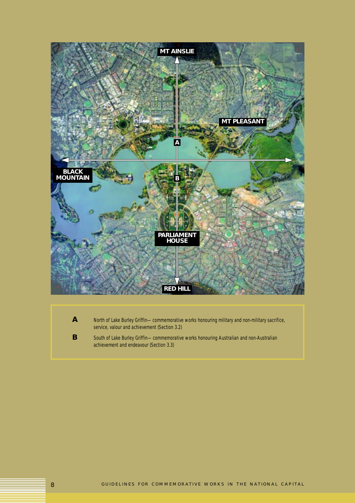

A North of Lake Burley Griffin—commemorative works honouring military and non-military sacrifice, service, valour and achievement (Section 3.2)

**B** South of Lake Burley Griffin—commemorative works honouring Australian and non-Australian achievement and endeavour (Section 3.3)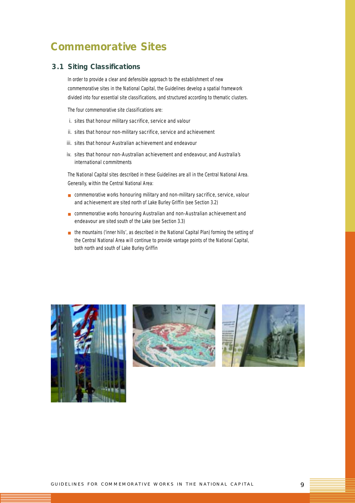## **Commemorative Sites**

## **3.1 Siting Classifications**

In order to provide a clear and defensible approach to the establishment of new commemorative sites in the National Capital, the *Guidelines* develop a spatial framework divided into *four* essential site classifications, and structured according to thematic clusters.

The *four* commemorative site classifications are:

- *i. sites that honour military sacrifice, service and valour*
- *ii. sites that honour non-military sacrifice, service and achievement*
- *iii. sites that honour Australian achievement and endeavour*
- *iv. sites that honour non-Australian achievement and endeavour, and Australia's international commitments*

The National Capital sites described in these *Guidelines* are all in the Central National Area. Generally, within the Central National Area:

- commemorative works *honouring military and non-military sacrifice, service, valour and achievement* are sited north of Lake Burley Griffin (see Section 3.2)
- commemorative works *honouring Australian and non-Australian achievement and endeavour* are sited south of the Lake (see Section 3.3)
- the mountains ('inner hills', as described in the National Capital Plan) forming the setting of the Central National Area will continue to provide vantage points of the National Capital, both north and south of Lake Burley Griffin





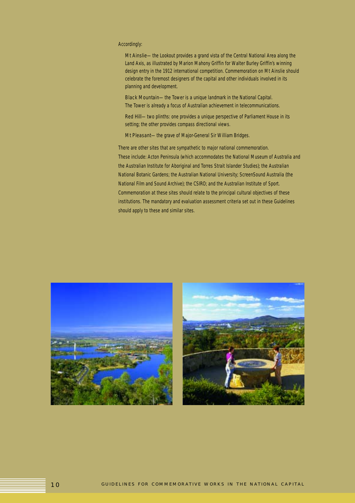#### Accordingly:

*Mt Ainslie—the Lookout provides a grand vista of the Central National Area along the Land Axis, as illustrated by Marion Mahony Griffin for Walter Burley Griffin's winning design entry in the 1912 international competition. Commemoration on Mt Ainslie should celebrate the foremost designers of the capital and other individuals involved in its planning and development.*

*Black Mountain—the Tower is a unique landmark in the National Capital. The Tower is already a focus of Australian achievement in telecommunications.*

*Red Hill—two plinths: one provides a unique perspective of Parliament House in its setting; the other provides compass directional views.*

*Mt Pleasant—the grave of Major-General Sir William Bridges.*

There are other sites that are sympathetic to major national commemoration. These include: Acton Peninsula (which accommodates the National Museum of Australia and the Australian Institute for Aboriginal and Torres Strait Islander Studies); the Australian National Botanic Gardens; the Australian National University; ScreenSound Australia (the National Film and Sound Archive); the CSIRO; and the Australian Institute of Sport. Commemoration at these sites should relate to the principal cultural objectives of these institutions. The mandatory and evaluation assessment criteria set out in these *Guidelines* should apply to these and similar sites.



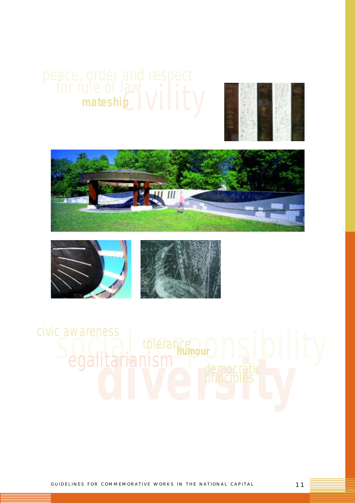









**democratic Contracts** c awareness<br>Socialitarianism<sup>ene</sup>neem Composition in ty *tolerance egalitarianism humour democratic principles civic awareness*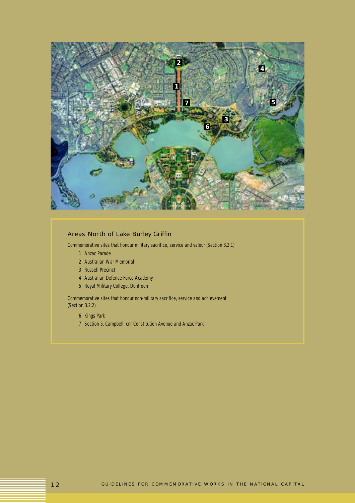

## Areas North of Lake Burley Griffin

Commemorative sites that honour military sacrifice, service and valour (Section 3.2.1)

- *1 Anzac Parade*
- *2 Australian War Memorial*
- *3 Russell Precinct*
- *4 Australian Defence Force Academy*
- *5 Royal Military College, Duntroon*

Commemorative sites that honour non-military sacrifice, service and achievement (Section 3.2.2)

- *6 Kings Park*
- *7 Section 5, Campbell, cnr Constitution Avenue and Anzac Park*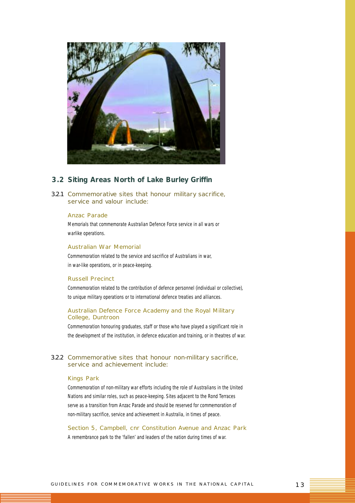

## **3.2 Siting Areas North of Lake Burley Griffin**

3.2.1 Commemorative sites that honour military sacrifice, service and valour include:

#### *Anzac Parade*

Memorials that commemorate Australian Defence Force service in all wars or warlike operations.

#### *Australian War Memorial*

Commemoration related to the service and sacrifice of Australians in war, in war-like operations, or in peace-keeping.

#### *Russell Precinct*

Commemoration related to the contribution of defence personnel (individual or collective), to unique military operations or to international defence treaties and alliances.

#### *Australian Defence Force Academy and the Royal Military College, Duntroon*

Commemoration honouring graduates, staff or those who have played a significant role in the development of the institution, in defence education and training, or in theatres of war.

#### 3.2.2 Commemorative sites that honour non-military sacrifice, service and achievement include:

#### *Kings Park*

Commemoration of non-military war efforts including the role of Australians in the United Nations and similar roles, such as peace-keeping. Sites adjacent to the Rond Terraces serve as a transition from Anzac Parade and should be reserved for commemoration of non-military sacrifice, service and achievement in Australia, in times of peace.

*Section 5, Campbell, cnr Constitution Avenue and Anzac Park* A remembrance park to the 'fallen' and leaders of the nation during times of war.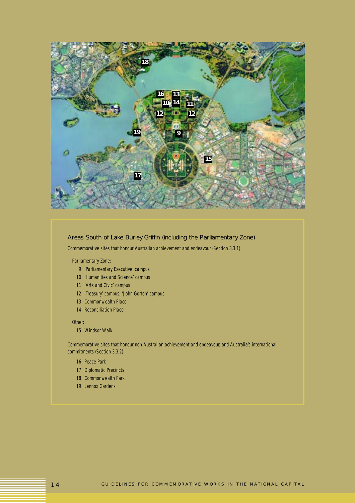

#### Areas South of Lake Burley Griffin (including the Parliamentary Zone)

Commemorative sites that honour Australian achievement and endeavour (Section 3.3.1)

#### Parliamentary Zone:

- *9 'Parliamentary Executive' campus*
- *10 'Humanities and Science' campus*
- *11 'Arts and Civic' campus*
- *12 'Treasury' campus, 'John Gorton' campus*
- *13 Commonwealth Place*
- *14 Reconciliation Place*

#### Other:

*15 Windsor Walk*

Commemorative sites that honour non-Australian achievement and endeavour, and Australia's international commitments (Section 3.3.2)

- *16 Peace Park*
- *17 Diplomatic Precincts*
- *18 Commonwealth Park*
- *19 Lennox Gardens*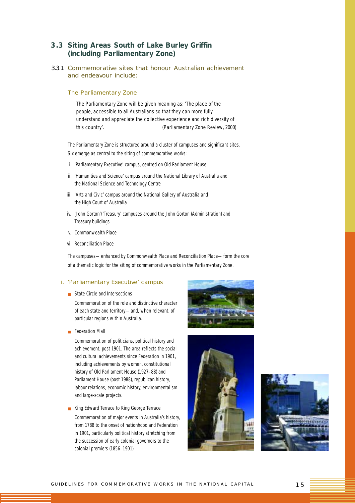## **3.3 Siting Areas South of Lake Burley Griffin (including Parliamentary Zone)**

3.3.1 Commemorative sites that honour Australian achievement and endeavour include:

#### *The Parliamentary Zone*

*The Parliamentary Zone will be given meaning as: 'The place of the people, accessible to all Australians so that they can more fully understand and appreciate the collective experience and rich diversity of this country'. (Parliamentary Zone Review, 2000)*

The Parliamentary Zone is structured around a cluster of campuses and significant sites. Six emerge as central to the siting of commemorative works:

- i. 'Parliamentary Executive' campus, centred on Old Parliament House
- ii. 'Humanities and Science' campus around the National Library of Australia and the National Science and Technology Centre
- iii. 'Arts and Civic' campus around the National Gallery of Australia and the High Court of Australia
- iv. 'John Gorton'/'Treasury' campuses around the John Gorton (Administration) and Treasury buildings
- v. Commonwealth Place
- vi. Reconciliation Place

The campuses—enhanced by Commonwealth Place and Reconciliation Place—form the core of a thematic logic for the siting of commemorative works in the Parliamentary Zone.

#### *i. 'Parliamentary Executive' campus*

■ State Circle and Intersections

*Commemoration of the role and distinctive character of each state and territory—and, when relevant, of particular regions within Australia.*

■ Federation Mall

*Commemoration of politicians, political history and achievement, post 1901. The area reflects the social and cultural achievements since Federation in 1901, including achievements by women, constitutional history of Old Parliament House (1927–88) and Parliament House (post 1988), republican history, labour relations, economic history, environmentalism and large-scale projects.*

■ King Edward Terrace to King George Terrace *Commemoration of major events in Australia's history, from 1788 to the onset of nationhood and Federation in 1901, particularly political history stretching from the succession of early colonial governors to the colonial premiers (1856–1901).*





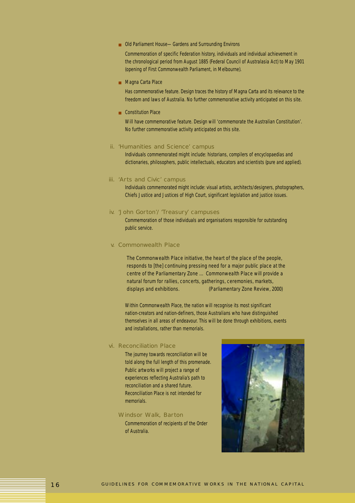■ Old Parliament House—Gardens and Surrounding Environs

*Commemoration of specific Federation history, individuals and individual achievement in the chronological period from August 1885 (Federal Council of Australasia Act) to May 1901 (opening of First Commonwealth Parliament, in Melbourne).*

■ Magna Carta Place

*Has commemorative feature. Design traces the history of Magna Carta and its relevance to the freedom and laws of Australia. No further commemorative activity anticipated on this site.*

■ Constitution Place

*Will have commemorative feature. Design will 'commemorate the Australian Constitution'. No further commemorative activity anticipated on this site.*

### *ii. 'Humanities and Science' campus*

Individuals commemorated might include: historians, compilers of encyclopaedias and dictionaries, philosophers, public intellectuals, educators and scientists (pure and applied).

#### *iii. 'Arts and Civic' campus*

Individuals commemorated might include: visual artists, architects/designers, photographers, Chiefs Justice and Justices of High Court, significant legislation and justice issues.

#### *iv. 'John Gorton'/'Treasury' campuses*

Commemoration of those individuals and organisations responsible for outstanding public service.

#### *v. Commonwealth Place*

*The Commonwealth Place initiative, the heart of the place of the people, responds to [the] continuing pressing need for a major public place at the centre of the Parliamentary Zone … Commonwealth Place will provide a natural forum for rallies, concerts, gatherings, ceremonies, markets, displays and exhibitions. (Parliamentary Zone Review, 2000)*

Within Commonwealth Place, the nation will recognise its most significant nation-creators and nation-definers, those Australians who have distinguished themselves in all areas of endeavour. This will be done through exhibitions, events and installations, rather than memorials.

#### *vi. Reconciliation Place*

The journey towards reconciliation will be told along the full length of this promenade. Public artworks will project a range of experiences reflecting Australia's path to reconciliation and a shared future. Reconciliation Place is not intended for memorials.

#### *Windsor Walk, Barton*

Commemoration of recipients of the Order of Australia.

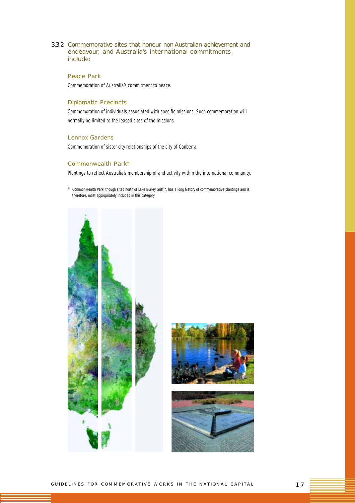3.3.2 Commemorative sites that honour non-Australian achievement and endeavour, and Australia's international commitments, include:

## *Peace Park*

Commemoration of Australia's commitment to peace.

#### *Diplomatic Precincts*

Commemoration of individuals associated with specific missions. Such commemoration will normally be limited to the leased sites of the missions.

#### *Lennox Gardens*

Commemoration of sister-city relationships of the city of Canberra.

## *Commonwealth Park\**

Plantings to reflect Australia's membership of and activity within the international community.

\* Commonwealth Park, though sited north of Lake Burley Griffin, has a long history of commemorative plantings and is, therefore, most appropriately included in this category.





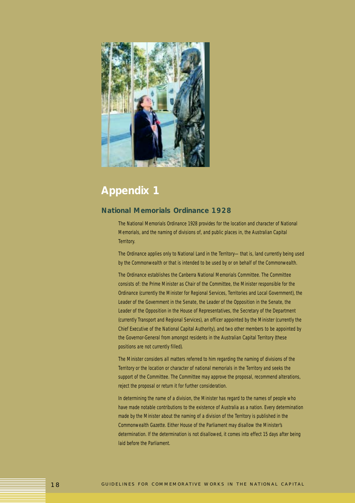

## **Appendix 1**

## **National Memorials Ordinance 1928**

The *National Memorials Ordinance 1928* provides for the location and character of National Memorials, and the naming of divisions of, and public places in, the Australian Capital Territory.

The Ordinance applies only to National Land in the Territory—that is, land currently being used by the Commonwealth or that is intended to be used by or on behalf of the Commonwealth.

The Ordinance establishes the Canberra National Memorials Committee. The Committee consists of: the Prime Minister as Chair of the Committee, the Minister responsible for the Ordinance (currently the Minister for Regional Services, Territories and Local Government), the Leader of the Government in the Senate, the Leader of the Opposition in the Senate, the Leader of the Opposition in the House of Representatives, the Secretary of the Department (currently Transport and Regional Services), an officer appointed by the Minister (currently the Chief Executive of the National Capital Authority), and two other members to be appointed by the Governor-General from amongst residents in the Australian Capital Territory (these positions are not currently filled).

The Minister considers all matters referred to him regarding the naming of divisions of the Territory or the location or character of national memorials in the Territory and seeks the support of the Committee. The Committee may approve the proposal, recommend alterations, reject the proposal or return it for further consideration.

In determining the name of a division, the Minister has regard to the names of people who have made notable contributions to the existence of Australia as a nation. Every determination made by the Minister about the naming of a division of the Territory is published in the Commonwealth Gazette. Either House of the Parliament may disallow the Minister's determination. If the determination is not disallowed, it comes into effect 15 days after being laid before the Parliament.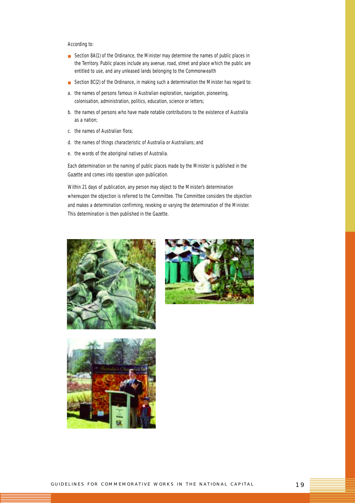#### According to:

- Section 8A(1) of the Ordinance, the Minister may determine the names of public places in the Territory. Public places include any avenue, road, street and place which the public are entitled to use, and any unleased lands belonging to the Commonwealth
- Section 8C(2) of the Ordinance, in making such a determination the Minister has regard to:
- *a. the names of persons famous in Australian exploration, navigation, pioneering, colonisation, administration, politics, education, science or letters;*
- *b. the names of persons who have made notable contributions to the existence of Australia as a nation;*
- *c. the names of Australian flora;*
- *d. the names of things characteristic of Australia or Australians; and*
- *e. the words of the aboriginal natives of Australia.*

Each determination on the naming of public places made by the Minister is published in the Gazette and comes into operation upon publication.

Within 21 days of publication, any person may object to the Minister's determination whereupon the objection is referred to the Committee. The Committee considers the objection and makes a determination confirming, revoking or varying the determination of the Minister. This determination is then published in the Gazette.





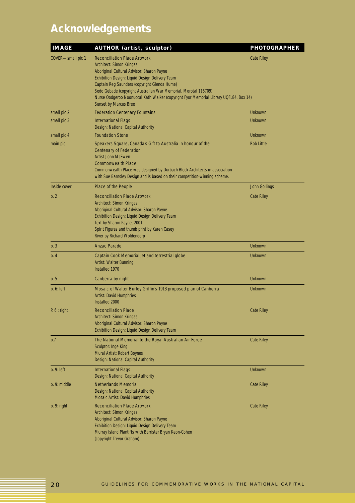# **Acknowledgements**

| <b>IMAGE</b>      | <b>AUTHOR (artist, sculptor)</b>                                                                                                                                                                                                                                                                                                                                                                           | <b>PHOTOGRAPHER</b> |
|-------------------|------------------------------------------------------------------------------------------------------------------------------------------------------------------------------------------------------------------------------------------------------------------------------------------------------------------------------------------------------------------------------------------------------------|---------------------|
| COVER-small pic 1 | <b>Reconciliation Place Artwork</b><br>Architect: Simon Kringas<br>Aboriginal Cultural Advisor: Sharon Payne<br>Exhibition Design: Liquid Design Delivery Team<br>Captain Reg Saunders (copyright Glenda Hume)<br>Sedo Gebade (copyright Australian War Memorial, Morotal 116709)<br>Nurse Oodgeroo Noonuccal Kath Walker (copyright Fyor Memorial Library UQFL84, Box 14)<br><b>Sunset by Marcus Bree</b> | <b>Cate Riley</b>   |
| small pic 2       | <b>Federation Centenary Fountains</b>                                                                                                                                                                                                                                                                                                                                                                      | Unknown             |
| small pic 3       | <b>International Flags</b><br>Design: National Capital Authority                                                                                                                                                                                                                                                                                                                                           | Unknown             |
| small pic 4       | <b>Foundation Stone</b>                                                                                                                                                                                                                                                                                                                                                                                    | Unknown             |
| main pic          | Speakers Square, Canada's Gift to Australia in honour of the<br><b>Centenary of Federation</b><br>Artist John McEwen<br><b>Commonwealth Place</b><br>Commonwealth Place was designed by Durbach Block Architects in association<br>with Sue Barnsley Design and is based on their competition-winning scheme.                                                                                              | <b>Rob Little</b>   |
| Inside cover      | Place of the People                                                                                                                                                                                                                                                                                                                                                                                        | John Gollings       |
| p. 2              | <b>Reconciliation Place Artwork</b><br>Architect: Simon Kringas<br>Aboriginal Cultural Advisor: Sharon Payne<br>Exhibition Design: Liquid Design Delivery Team<br>Text by Sharon Payne, 2001<br>Spirit Figures and thumb print by Karen Casey<br>River by Richard Woldendorp                                                                                                                               | <b>Cate Riley</b>   |
| p. 3              | <b>Anzac Parade</b>                                                                                                                                                                                                                                                                                                                                                                                        | Unknown             |
| p. 4              | Captain Cook Memorial jet and terrestrial globe<br>Artist: Walter Bunning<br>Installed 1970                                                                                                                                                                                                                                                                                                                | Unknown             |
| p. 5              | Canberra by night                                                                                                                                                                                                                                                                                                                                                                                          | Unknown             |
| p. 6: left        | Mosaic of Walter Burley Griffin's 1913 proposed plan of Canberra<br><b>Artist: David Humphries</b><br>Installed 2000                                                                                                                                                                                                                                                                                       | Unknown             |
| P. 6: right       | <b>Reconciliation Place</b><br>Architect: Simon Kringas<br>Aboriginal Cultural Advisor: Sharon Payne<br>Exhibition Design: Liquid Design Delivery Team                                                                                                                                                                                                                                                     | <b>Cate Riley</b>   |
| p.7               | The National Memorial to the Royal Australian Air Force<br>Sculptor: Inge King<br>Mural Artist: Robert Boynes<br>Design: National Capital Authority                                                                                                                                                                                                                                                        | <b>Cate Riley</b>   |
| p. 9: left        | <b>International Flags</b><br>Design: National Capital Authority                                                                                                                                                                                                                                                                                                                                           | Unknown             |
| p. 9: middle      | <b>Netherlands Memorial</b><br>Design: National Capital Authority<br>Mosaic Artist: David Humphries                                                                                                                                                                                                                                                                                                        | <b>Cate Riley</b>   |
| $p. 9:$ right     | <b>Reconciliation Place Artwork</b><br>Architect: Simon Kringas<br>Aboriginal Cultural Advisor: Sharon Payne<br>Exhibition Design: Liquid Design Delivery Team<br>Murray Island Plantiffs with Barrister Bryan Keon-Cohen<br>(copyright Trevor Graham)                                                                                                                                                     | <b>Cate Riley</b>   |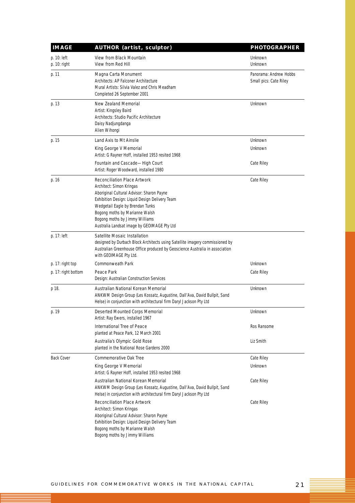| <b>IMAGE</b>                  | <b>AUTHOR (artist, sculptor)</b>                                                                                                                                                                                                                                                                                      | <b>PHOTOGRAPHER</b>                              |
|-------------------------------|-----------------------------------------------------------------------------------------------------------------------------------------------------------------------------------------------------------------------------------------------------------------------------------------------------------------------|--------------------------------------------------|
| p. 10: left<br>$p. 10:$ right | View from Black Mountain<br>View from Red Hill                                                                                                                                                                                                                                                                        | Unknown<br>Unknown                               |
| p. 11                         | Magna Carta Monument<br>Architects: AP Falconer Architecture<br>Mural Artists: Silvia Valez and Chris Meadham<br>Completed 26 September 2001                                                                                                                                                                          | Panorama: Andrew Hobbs<br>Small pics: Cate Riley |
| p. 13                         | <b>New Zealand Memorial</b><br>Artist: Kingsley Baird<br>Architects: Studio Pacific Architecture<br>Daisy Nadjungdanga<br>Alien Wihongi                                                                                                                                                                               | Unknown                                          |
| p. 15                         | Land Axis to Mt Ainslie                                                                                                                                                                                                                                                                                               | Unknown                                          |
|                               | King George V Memorial<br>Artist: G Rayner Hoff, installed 1953 resited 1968                                                                                                                                                                                                                                          | Unknown                                          |
|                               | Fountain and Cascade-High Court<br>Artist: Roger Woodward, installed 1980                                                                                                                                                                                                                                             | Cate Riley                                       |
| p. 16                         | <b>Reconciliation Place Artwork</b><br>Architect: Simon Kringas<br>Aboriginal Cultural Advisor: Sharon Payne<br>Exhibition Design: Liquid Design Delivery Team<br>Wedgetail Eagle by Brendan Tunks<br>Bogong moths by Marianne Walsh<br>Bogong moths by Jimmy Williams<br>Australia Landsat image by GEOIMAGE Pty Ltd | Cate Riley                                       |
| p. 17: left                   | Satellite Mosaic Installation<br>designed by Durbach Block Architects using Satellite imagery commissioned by<br>Australian Greenhouse Office produced by Geoscience Australia in association<br>with GEOIMAGE Pty Ltd.                                                                                               |                                                  |
| p. 17: right top              | <b>Commonweath Park</b>                                                                                                                                                                                                                                                                                               | Unknown                                          |
| p. 17: right bottom           | Peace Park<br>Design: Australian Construction Services                                                                                                                                                                                                                                                                | Cate Riley                                       |
| p 18.                         | Australian National Korean Memorial<br>ANKWM Design Group (Les Kossatz, Augustine, Dall'Ava, David Bullpit, Sand<br>Helse) in conjunction with architectural firm Daryl Jackson Pty Ltd                                                                                                                               | Unknown                                          |
| p. 19                         | Deserted Mounted Corps Memorial<br>Artist: Ray Ewers, installed 1967                                                                                                                                                                                                                                                  | Unknown                                          |
|                               | International Tree of Peace<br>planted at Peace Park, 12 March 2001                                                                                                                                                                                                                                                   | Ros Ransome                                      |
|                               | Australia's Olympic Gold Rose<br>planted in the National Rose Gardens 2000                                                                                                                                                                                                                                            | Liz Smith                                        |
| <b>Back Cover</b>             | Commemorative Oak Tree                                                                                                                                                                                                                                                                                                | Cate Riley                                       |
|                               | King George V Memorial<br>Artist: G Rayner Hoff, installed 1953 resited 1968                                                                                                                                                                                                                                          | Unknown                                          |
|                               | Australian National Korean Memorial<br>ANKWM Design Group (Les Kossatz, Augustine, Dall'Ava, David Bullpit, Sand<br>Helse) in conjunction with architectural firm Daryl Jackson Pty Ltd                                                                                                                               | Cate Riley                                       |
|                               | <b>Reconciliation Place Artwork</b><br>Architect: Simon Kringas<br>Aboriginal Cultural Advisor: Sharon Payne<br>Exhibition Design: Liquid Design Delivery Team<br>Bogong moths by Marianne Walsh<br>Bogong moths by Jimmy Williams                                                                                    | Cate Riley                                       |